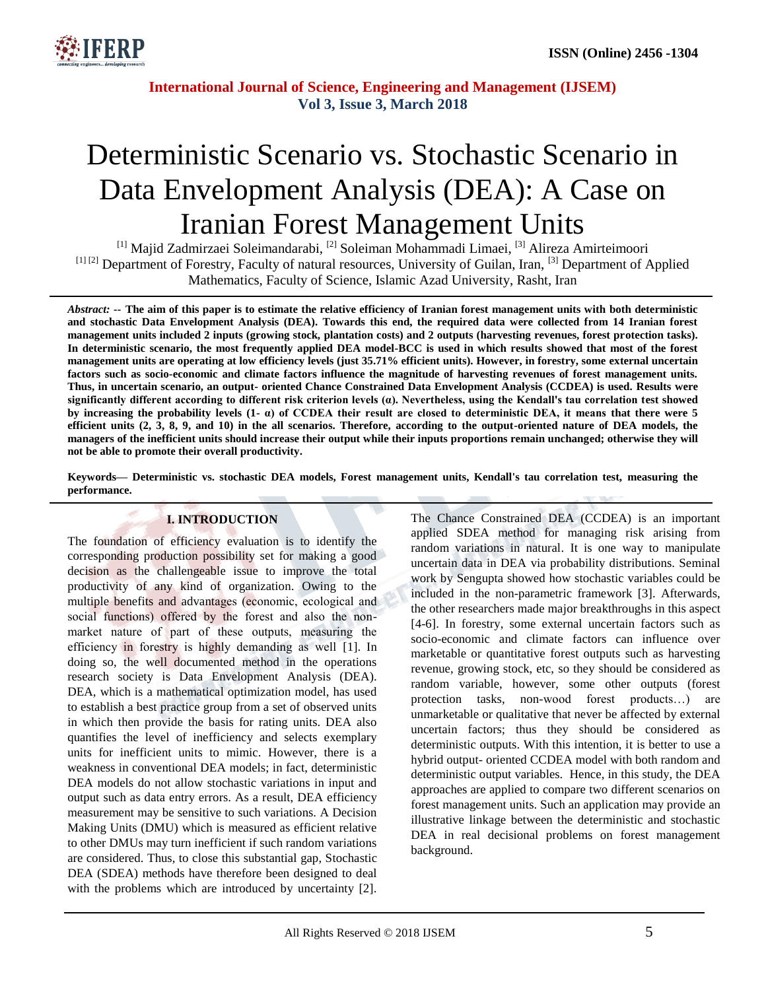

# Deterministic Scenario vs. Stochastic Scenario in Data Envelopment Analysis (DEA): A Case on Iranian Forest Management Units

[1] Majid Zadmirzaei Soleimandarabi, [2] Soleiman Mohammadi Limaei, [3] Alireza Amirteimoori [1]<sup>[2]</sup> Department of Forestry, Faculty of natural resources, University of Guilan, Iran, <sup>[3]</sup> Department of Applied Mathematics, Faculty of Science, Islamic Azad University, Rasht, Iran

*Abstract: --* **The aim of this paper is to estimate the relative efficiency of Iranian forest management units with both deterministic and stochastic Data Envelopment Analysis (DEA). Towards this end, the required data were collected from 14 Iranian forest management units included 2 inputs (growing stock, plantation costs) and 2 outputs (harvesting revenues, forest protection tasks). In deterministic scenario, the most frequently applied DEA model-BCC is used in which results showed that most of the forest management units are operating at low efficiency levels (just 35.71% efficient units). However, in forestry, some external uncertain factors such as socio-economic and climate factors influence the magnitude of harvesting revenues of forest management units. Thus, in uncertain scenario, an output- oriented Chance Constrained Data Envelopment Analysis (CCDEA) is used. Results were significantly different according to different risk criterion levels (α). Nevertheless, using the Kendall's tau correlation test showed by increasing the probability levels (1- α) of CCDEA their result are closed to deterministic DEA, it means that there were 5 efficient units (2, 3, 8, 9, and 10) in the all scenarios. Therefore, according to the output-oriented nature of DEA models, the managers of the inefficient units should increase their output while their inputs proportions remain unchanged; otherwise they will not be able to promote their overall productivity.**

**Keywords— Deterministic vs. stochastic DEA models, Forest management units, Kendall's tau correlation test, measuring the performance.** 

# **I. INTRODUCTION**

The foundation of efficiency evaluation is to identify the corresponding production possibility set for making a good decision as the challengeable issue to improve the total productivity of any kind of organization. Owing to the multiple benefits and advantages (economic, ecological and social functions) offered by the forest and also the nonmarket nature of part of these outputs, measuring the efficiency in forestry is highly demanding as well [1]. In doing so, the well documented method in the operations research society is Data Envelopment Analysis (DEA). DEA, which is a mathematical optimization model, has used to establish a best practice group from a set of observed units in which then provide the basis for rating units. DEA also quantifies the level of inefficiency and selects exemplary units for inefficient units to mimic. However, there is a weakness in conventional DEA models; in fact, deterministic DEA models do not allow stochastic variations in input and output such as data entry errors. As a result, DEA efficiency measurement may be sensitive to such variations. A Decision Making Units (DMU) which is measured as efficient relative to other DMUs may turn inefficient if such random variations are considered. Thus, to close this substantial gap, Stochastic DEA (SDEA) methods have therefore been designed to deal with the problems which are introduced by uncertainty [2].

The Chance Constrained DEA (CCDEA) is an important applied SDEA method for managing risk arising from random variations in natural. It is one way to manipulate uncertain data in DEA via probability distributions. Seminal work by Sengupta showed how stochastic variables could be included in the non-parametric framework [3]. Afterwards, the other researchers made major breakthroughs in this aspect [4-6]. In forestry, some external uncertain factors such as socio-economic and climate factors can influence over marketable or quantitative forest outputs such as harvesting revenue, growing stock, etc, so they should be considered as random variable, however, some other outputs (forest protection tasks, non-wood forest products...) are unmarketable or qualitative that never be affected by external uncertain factors; thus they should be considered as deterministic outputs. With this intention, it is better to use a hybrid output- oriented CCDEA model with both random and deterministic output variables. Hence, in this study, the DEA approaches are applied to compare two different scenarios on forest management units. Such an application may provide an illustrative linkage between the deterministic and stochastic DEA in real decisional problems on forest management background.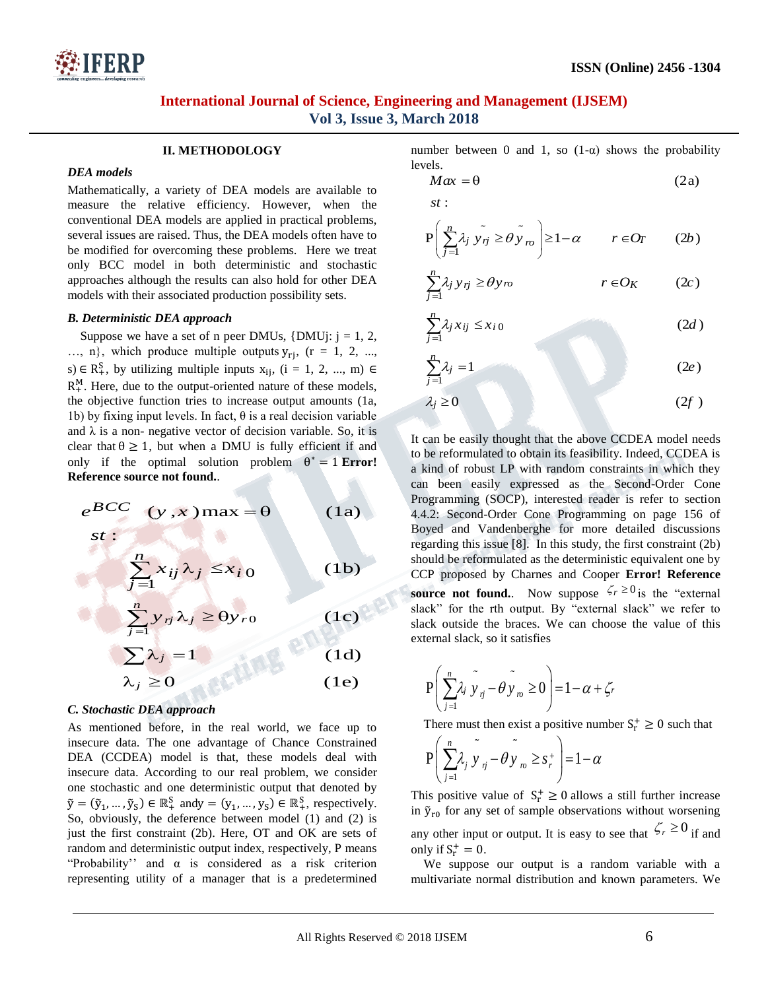

#### **II. METHODOLOGY**

## *DEA models*

Mathematically, a variety of DEA models are available to measure the relative efficiency. However, when the conventional DEA models are applied in practical problems, several issues are raised. Thus, the DEA models often have to be modified for overcoming these problems. Here we treat only BCC model in both deterministic and stochastic approaches although the results can also hold for other DEA models with their associated production possibility sets.

#### *B. Deterministic DEA approach*

Suppose we have a set of n peer DMUs,  $\{DMUj: j = 1, 2, \ldots\}$ ..., n}, which produce multiple outputs  $y_{ri}$ ,  $(r = 1, 2, ...,$ s)  $\in$  R<sup>S</sup><sub>+</sub>, by utilizing multiple inputs  $x_{ii}$ , (i = 1, 2, ..., m)  $R_{+}^{M}$ . Here, due to the output-oriented nature of these models, the objective function tries to increase output amounts (1a, 1b) by fixing input levels. In fact,  $\theta$  is a real decision variable and  $\lambda$  is a non- negative vector of decision variable. So, it is clear that  $\theta \ge 1$ , but when a DMU is fully efficient if and only if the optimal solution problem  $\theta^* = 1$  **Error!** 

Reference source not found.  
\n
$$
e^{BCC}
$$
  $(y, x) max = \theta$  (1a)

: *st*

$$
\sum_{j=1}^{n} x_{ij} \lambda_j \leq x_{i,0}
$$
 (1b)

$$
\sum_{j=1}^{n} y_{rj} \lambda_j \geq \theta y_{r0}
$$
\n
$$
\sum_{j=1}^{n} \lambda_j = 1
$$
\n(1c)\n(1d)

$$
\sum \lambda_j = 1
$$
\n
$$
\lambda_j \ge 0
$$
\n(1a)\n  
\n(1e)

#### *C. Stochastic DEA approach*

*j*

As mentioned before, in the real world, we face up to insecure data. The one advantage of Chance Constrained DEA (CCDEA) model is that, these models deal with insecure data. According to our real problem, we consider one stochastic and one deterministic output that denoted by  $\tilde{y} = (\tilde{y}_1, ..., \tilde{y}_S) \in \mathbb{R}_+^S$  and  $y = (y_1, ..., y_S) \in \mathbb{R}_+^S$ , respectively. So, obviously, the deference between model (1) and (2) is just the first constraint (2b). Here, OT and OK are sets of random and deterministic output index, respectively, P means "Probability" and  $\alpha$  is considered as a risk criterion representing utility of a manager that is a predetermined

number between 0 and 1, so  $(1-\alpha)$ levels. etween 0 and<br>=  $\theta$ 

$$
Max = \theta \tag{2a}
$$

: *st*

$$
st:
$$
\n
$$
P\left(\sum_{j=1}^{n} \lambda_j \tilde{y}_{rj} \ge \theta \tilde{y}_{r0}\right) \ge 1 - \alpha \qquad r \in O_T \qquad (2b)
$$
\n
$$
\sum_{i=1}^{n} \lambda_j \tilde{y}_{rj} \ge \theta \tilde{y}_{r0} \qquad r \in O_K \qquad (2c)
$$

$$
\mathbb{P}\left[\sum_{j=1}^{n} \lambda_j y_{rj} \ge \theta y_{r0}\right] \ge 1 - \alpha \qquad r \in O_T \qquad (2b)
$$
  

$$
\sum_{j=1}^{n} \lambda_j y_{rj} \ge \theta y_{r0} \qquad r \in O_K \qquad (2c)
$$

$$
\sum_{j=1} \lambda_j y_{rj} \ge \theta y_{r0} \qquad \qquad r \in O_K \qquad (2c)
$$

$$
\sum_{j=1}^n \lambda_j x_{ij} \le x_{i0} \qquad (2d)
$$

$$
\sum_{j=1}^{\infty} \lambda_j x_{ij} \le x_{i0}
$$
\n
$$
\sum_{j=1}^n \lambda_j = 1
$$
\n
$$
\lambda_j \ge 0
$$
\n(2*t*)

$$
\lambda_j \geq 0 \tag{2f}
$$

It can be easily thought that the above CCDEA model needs to be reformulated to obtain its feasibility. Indeed, CCDEA is a kind of robust LP with random constraints in which they can been easily expressed as the Second-Order Cone Programming (SOCP), interested reader is refer to section 4.4.2: Second-Order Cone Programming on page 156 of Boyed and Vandenberghe for more detailed discussions regarding this issue [8]. In this study, the first constraint (2b) should be reformulated as the deterministic equivalent one by CCP proposed by Charnes and Cooper **Error! Reference source not found.** Now suppose  $\zeta_r \ge 0$  is the "ext" slack" for the rth output. By "external slack" we refer to slack outside the braces. We can choose the value of this external slack, so it satisfies

$$
P\left(\sum_{j=1}^n \lambda_j \tilde{y}_j - \tilde{\theta} \tilde{y}_m \ge 0\right) = 1 - \alpha + \zeta_r
$$

There must then exist a positive number  $S_r^+ \geq 0$  such that

$$
P\left(\sum_{j=1}^{n} \lambda_j \left(\sum_{j=1}^{n} \phi_{j} \right)_{\infty} \geq s_r^+\right) = 1 - \alpha
$$

This positive value of  $S_r^+ \ge 0$  allows a still further increase in  $\tilde{y}_{r0}$  for any set of sample observations without worsening any other input or output. It is easy to see that  $\zeta_r \ge 0$  if and only if  $S_r^+ = 0$ .

We suppose our output is a random variable with a multivariate normal distribution and known parameters. We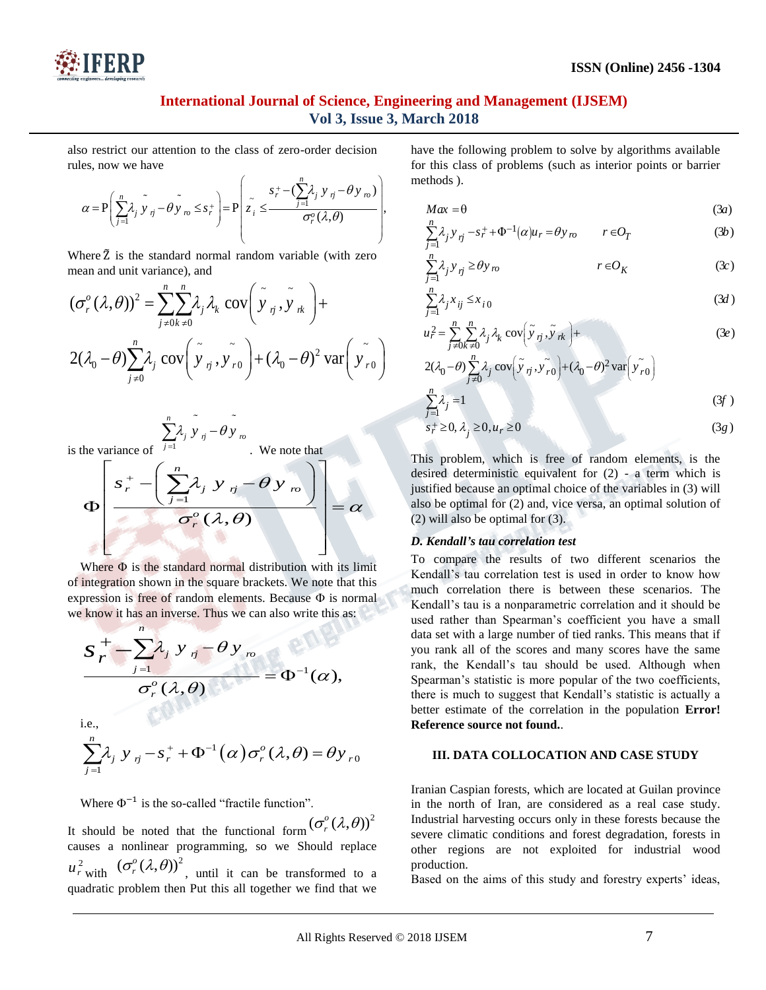

also restrict our attention to the class of zero-order decision has<br>rules, now we have for<br> $\left(\sum_{i=1}^{n} \lambda_i y_{ij} - \theta y_{iv}\right)$  me rules, now we have

so restrict our attention to the class of zero-order decision  
les, now we have  

$$
\alpha = P\left(\sum_{j=1}^{n} \lambda_j \tilde{y}_{rj} - \theta \tilde{y}_{r0} \leq s_r^+\right) = P\left(\tilde{z}_i \leq \frac{s_r^+ - (\sum_{j=1}^{n} \lambda_j \tilde{y}_{rj} - \theta \tilde{y}_{r0})}{\sigma_r^o(\lambda, \theta)}\right),
$$

Where  $\tilde{Z}$  is the standard normal random variable (with zero

where *Z* is the standard normal random variable (with zero  
mean and unit variance), and  

$$
(\sigma_r^o(\lambda, \theta))^2 = \sum_{j \neq 0}^n \sum_{k=0}^n \lambda_j \lambda_k \text{ cov} \left( \tilde{y}_{rj}, \tilde{y}_{rk} \right) + \sum_{\substack{j=1 \\ j \neq 0}}^n \sum_{k=0}^n \lambda_j \lambda_k \text{ cov} \left( \tilde{y}_{rj}, \tilde{y}_{rk} \right) + \sum_{\substack{l=1 \\ l \neq j}}^n \sum_{j=0}^n \lambda_j \text{ cov} \left( \tilde{y}_{rj}, \tilde{y}_{r0} \right) + (\lambda_0 - \theta)^2 \text{ var} \left( \tilde{y}_{r0} \right)
$$

is the variance of  $\mathbf{r}^{j=1}$  We note that 1  $\sum \lambda_j y_{ij} - \theta y_{ro}$ *j*  $=$ 

*n*

 $\sim$  0.00  $\mu$ 

the variance of 
$$
\int_{-1}^{1} \int_{-\infty}^{1} y_j y_j \, dy
$$
. We note that  
\n
$$
\Phi\left[\frac{s_r^+ - \left(\sum_{j=1}^n \lambda_j y_{rj} - \theta y_{r0}\right)}{\sigma_r^o(\lambda, \theta)}\right] = \alpha
$$

Where  $\Phi$  is the standard normal distribution with its limit of integration shown in the square brackets. We note that this expression is free of random elements. Because  $\Phi$  is normal we know it has an inverse. Thus we can also write this as:

$$
\mathbf{S}_{r}^{\dagger} - \sum_{j=1}^{n} \lambda_{j} y_{j} - \theta y_{j}
$$

$$
\sigma_{r}^{o}(\lambda, \theta) = \Phi^{-1}(\alpha),
$$

i.e.,

i.e.,  

$$
\sum_{j=1}^{n} \lambda_j y_{rj} - s_r^+ + \Phi^{-1}(\alpha) \sigma_r^o(\lambda, \theta) = \theta y_{r0}
$$

Where  $\Phi^{-1}$  is the so-called "fractile function".

It should be noted that the functional form causes a nonlinear programming, so we Should replace  $u_r^2$  with  $(\sigma_r^o(\lambda, \theta))^2$ , until it can be transformed to a quadratic problem then Put this all together we find that we  $\left(\sigma_{r}^{o}(\lambda, \theta)\right)^{2}$ 

have the following problem to solve by algorithms available for this class of problems (such as interior points or barrier methods ).  $\begin{pmatrix} 3a \\ a \end{pmatrix}$ *Max* =  $\theta$  *Max*  $\theta$  *Max* **a** *Max* **a** *Max* **a** *Max* **a** *Max* **a** *Max* **a** *Max* **a** *Max* **a** *Max* **a** *Max* **a** *Max* **a** *Max* **a** *Max* **a** *Max* **a** *Max* **a** *Max* **a** *Max* **a** *Max* **a** *Max* **a** *Max*

$$
Max = \theta \tag{3a}
$$

$$
\begin{aligned}\n\text{at } & \text{at } \\ \mathbf{M} & \text{at } & = \theta \\
\sum_{j=1}^{n} \lambda_j y_{rj} - s_r^+ + \Phi^{-1}(\alpha) u_r = \theta y_{r0} & r \in O_T\n\end{aligned}\n\tag{3a}
$$

$$
Max = \theta
$$
\n
$$
\sum_{j=1}^{n} \lambda_j y_{rj} - s_r^+ + \Phi^{-1}(\alpha)u_r = \theta y_{r0}
$$
\n
$$
r \in O_T
$$
\n
$$
\sum_{j=1}^{n} \lambda_j y_{rj} \ge \theta y_{r0}
$$
\n
$$
r \in O_K
$$
\n
$$
\sum_{j=1}^{n} \lambda_j x_{rj} \le x_{i0}
$$
\n(3*d*)

$$
\sum_{j=1}^{n} \lambda_j y_{rj} \ge \theta y_{r0} \qquad \qquad r \in O_K \qquad (3c)
$$
\n
$$
\sum_{j=1}^{n} \lambda_j x_{ij} \le x_{i0} \qquad (3d)
$$
\n
$$
u_r^2 = \sum_{j=0}^{n} \sum_{k=0}^{n} \lambda_j \lambda_k \cos\left(\tilde{y}_{rj}, \tilde{y}_{rk}\right) + \qquad (3e)
$$

$$
\sum_{j=1}^{n} \lambda_j y_{rj} \ge \theta y_{r0} \qquad \qquad r \in O_K
$$
\n
$$
\sum_{j=1}^{n} \lambda_j x_{ij} \le x_{i0} \qquad (3d)
$$
\n
$$
u_r^2 = \sum_{j \ne 0}^{n} \sum_{k=0}^{n} \lambda_j \lambda_k \operatorname{cov}(\tilde{y}_{rj}, \tilde{y}_{rk}) +
$$
\n
$$
2(\lambda_0 - \theta) \sum_{j \ne 0}^{n} \lambda_j \operatorname{cov}(\tilde{y}_{rj}, \tilde{y}_{r0}) + (\lambda_0 - \theta)^2 \operatorname{var}(\tilde{y}_{r0})
$$
\n(3e)

$$
u_r^2 = \sum_{j\neq 0}^n \sum_{k=0}^n \lambda_j \lambda_k \operatorname{cov} \left( \tilde{y}_{rj}, \tilde{y}_{rk} \right) +
$$
  
\n
$$
2(\lambda_0 - \theta) \sum_{j\neq 0}^n \lambda_j \operatorname{cov} \left( \tilde{y}_{rj}, \tilde{y}_{r0} \right) + (\lambda_0 - \theta)^2 \operatorname{var} \left( \tilde{y}_{r0} \right)
$$
  
\n
$$
\sum_{j=1}^n \lambda_j = 1
$$
  
\n
$$
s_r^+ \ge 0, \lambda_j \ge 0, u_r \ge 0
$$
  
\n(3g)

$$
\sum_{j=1} \lambda_j = 1
$$
\n
$$
s_r^+ \ge 0, \lambda_j \ge 0, u_r \ge 0
$$
\n(3*g*)

This problem, which is free of random elements, is the desired deterministic equivalent for (2) - a term which is justified because an optimal choice of the variables in (3) will also be optimal for (2) and, vice versa, an optimal solution of (2) will also be optimal for (3).

#### *D. Kendall's tau correlation test*

To compare the results of two different scenarios the Kendall's tau correlation test is used in order to know how much correlation there is between these scenarios. The Kendall's tau is a nonparametric correlation and it should be used rather than Spearman's coefficient you have a small data set with a large number of tied ranks. This means that if you rank all of the scores and many scores have the same rank, the Kendall's tau should be used. Although when Spearman's statistic is more popular of the two coefficients. there is much to suggest that Kendall's statistic is actually a better estimate of the correlation in the population **Error! Reference source not found.**.

## **III. DATA COLLOCATION AND CASE STUDY**

Iranian Caspian forests, which are located at Guilan province in the north of Iran, are considered as a real case study. Industrial harvesting occurs only in these forests because the severe climatic conditions and forest degradation, forests in other regions are not exploited for industrial wood production.

Based on the aims of this study and forestry experts' ideas,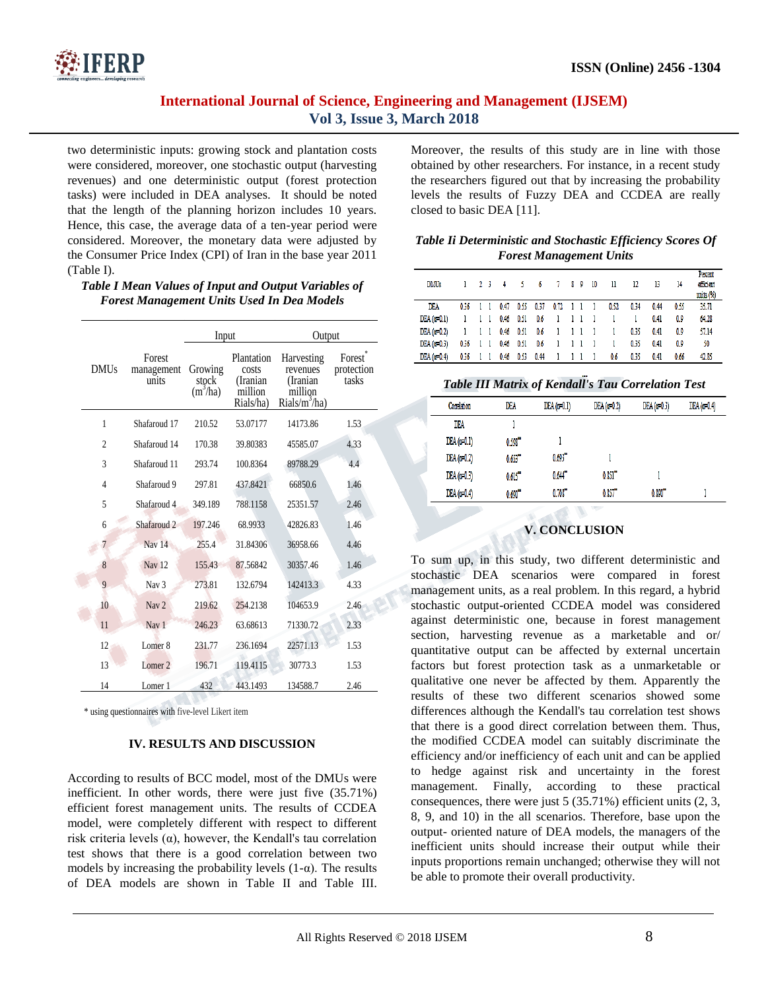

two deterministic inputs: growing stock and plantation costs were considered, moreover, one stochastic output (harvesting revenues) and one deterministic output (forest protection tasks) were included in DEA analyses. It should be noted that the length of the planning horizon includes 10 years. Hence, this case, the average data of a ten-year period were considered. Moreover, the monetary data were adjusted by the Consumer Price Index (CPI) of Iran in the base year 2011 (Table I).

| Table I Mean Values of Input and Output Variables of |  |  |  |
|------------------------------------------------------|--|--|--|
| <b>Forest Management Units Used In Dea Models</b>    |  |  |  |

|                |                               | Input                          |                                                         | Output                                                             |                               |  |  |
|----------------|-------------------------------|--------------------------------|---------------------------------------------------------|--------------------------------------------------------------------|-------------------------------|--|--|
| <b>DMUs</b>    | Forest<br>management<br>units | Growing<br>stock<br>$(m^3/ha)$ | Plantation<br>costs<br>(Iranian<br>million<br>Rials/ha) | Harvesting<br>revenues<br>(Iranian<br>million<br>Rials/ $m^3/ha$ ) | Forest<br>protection<br>tasks |  |  |
| 1              | Shafaroud 17                  | 210.52                         | 53.07177                                                | 14173.86                                                           | 1.53                          |  |  |
| 2              | Shafaroud 14                  | 170.38                         | 39.80383                                                | 45585.07                                                           | 4.33                          |  |  |
| 3              | Shafaroud 11                  | 293.74                         | 100.8364                                                | 89788.29                                                           | 4.4                           |  |  |
| 4              | Shafaroud 9                   | 297.81                         | 437.8421                                                | 66850.6                                                            | 1.46                          |  |  |
| 5              | Shafaroud 4                   | 349.189                        | 788.1158                                                | 25351.57                                                           | 2.46                          |  |  |
| 6              | Shafaroud <sub>2</sub>        | 197.246                        | 68.9933                                                 | 42826.83                                                           | 1.46                          |  |  |
| $\overline{7}$ | Nav 14                        | 255.4                          | 31.84306                                                | 36958.66                                                           | 4.46                          |  |  |
| 8              | Nav <sub>12</sub>             | 155.43                         | 87.56842                                                | 30357.46                                                           | 1.46                          |  |  |
| 9              | Nav 3                         | 273.81                         | 132.6794                                                | 142413.3                                                           | 4.33                          |  |  |
| 10             | Nav 2                         | 219.62                         | 254.2138                                                | 104653.9                                                           | 2.46                          |  |  |
| 11             | Nav 1                         | 246.23                         | 63.68613                                                | 71330.72                                                           | 2.33                          |  |  |
| 12             | Lomer <sub>8</sub>            | 231.77                         | 236.1694                                                | 22571.13                                                           | 1.53                          |  |  |
| 13             | Lomer <sub>2</sub>            | 196.71                         | 119.4115                                                | 30773.3                                                            | 1.53                          |  |  |
| 14             | Lomer 1                       | 432                            | 443.1493                                                | 134588.7                                                           | 2.46                          |  |  |

\* using questionnaires with five-level Likert item

## **IV. RESULTS AND DISCUSSION**

According to results of BCC model, most of the DMUs were inefficient. In other words, there were just five (35.71%) efficient forest management units. The results of CCDEA model, were completely different with respect to different risk criteria levels  $(\alpha)$ , however, the Kendall's tau correlation test shows that there is a good correlation between two models by increasing the probability levels  $(1-\alpha)$ . The results of DEA models are shown in Table II and Table III. Moreover, the results of this study are in line with those obtained by other researchers. For instance, in a recent study the researchers figured out that by increasing the probability levels the results of Fuzzy DEA and CCDEA are really closed to basic DEA [11].

*Table Ii Deterministic and Stochastic Efficiency Scores Of Forest Management Units*

| <b>DMUs</b>            | $1 \t2 \t3$ |    | $-4$            | 56                  |                                 | 789                                       |     | 10           | 11   | 12   | в    | 14   | Percent<br>efficient<br>units (%) |  |
|------------------------|-------------|----|-----------------|---------------------|---------------------------------|-------------------------------------------|-----|--------------|------|------|------|------|-----------------------------------|--|
| <b>DEA</b>             | $0.36$ 1 1  |    |                 |                     | $0.47$ $0.55$ $0.37$ $0.72$ 1 1 |                                           |     | $\mathbf{1}$ | 0.52 | 0.34 | 0.44 | 0.55 | 35.71                             |  |
| $DEA$ ( $\alpha$ =0.1) |             |    | 1 1 1 0.46 0.51 |                     | 0.6                             | 1111                                      |     |              | -1   | -1   | 0.41 | 0.9  | 64.28                             |  |
| $DEA$ ( $x=0.2$ )      |             |    | 1 1 1 0.46 0.51 |                     | 0.6                             | $\begin{array}{cc} 1 & 1 & 1 \end{array}$ |     | $\mathbf{1}$ | 1    | 0.35 | 0.41 | 0.9  | 57.14                             |  |
| DEA (or 0.3)           | $0.36$ 1 1  |    |                 | $0.46$ $0.51$ $0.6$ |                                 | $\mathbf{1}$                              | -11 | - 1          | 1    | 0.35 | 0.41 | 0.9  | 50                                |  |
| $DEA$ ( $x=0.4$ )      | 0.36        | -1 |                 | $0.46$ 0.53         | 0.44                            |                                           |     |              | 0.6  | 0.35 | 0.41 | 0.66 | 42.85                             |  |

## *Table III Matrix of Kendall's Tau Correlation Test*

| Correlation       | DEA      | $DEA$ ( $x=0.1$ )     | $DEA$ ( $x=0.2$ ) | $DEA(\alpha=0.3)$ | DEA (a=0.4) |
|-------------------|----------|-----------------------|-------------------|-------------------|-------------|
| DEA               |          |                       |                   |                   |             |
| $DEA$ ( $x=0.1$ ) | 0.598''' |                       |                   |                   |             |
| $DEA$ ( $x=0.2$ ) | 0.653''' | $0.693$ <sup>**</sup> |                   |                   |             |
| $DEA (a=0.3)$     | 0.615''' | 0.644                 | 0.851'''          |                   |             |
| DEA (a=0.4)       | 0.690    | 0.708                 | 0.857             | 0.890''           |             |
|                   |          |                       |                   |                   |             |

# **V. CONCLUSION**

To sum up, in this study, two different deterministic and stochastic DEA scenarios were compared in forest management units, as a real problem. In this regard, a hybrid stochastic output-oriented CCDEA model was considered against deterministic one, because in forest management section, harvesting revenue as a marketable and or/ quantitative output can be affected by external uncertain factors but forest protection task as a unmarketable or qualitative one never be affected by them. Apparently the results of these two different scenarios showed some differences although the Kendall's tau correlation test shows that there is a good direct correlation between them. Thus, the modified CCDEA model can suitably discriminate the efficiency and/or inefficiency of each unit and can be applied to hedge against risk and uncertainty in the forest management. Finally, according to these practical consequences, there were just 5 (35.71%) efficient units (2, 3, 8, 9, and 10) in the all scenarios. Therefore, base upon the output- oriented nature of DEA models, the managers of the inefficient units should increase their output while their inputs proportions remain unchanged; otherwise they will not be able to promote their overall productivity.